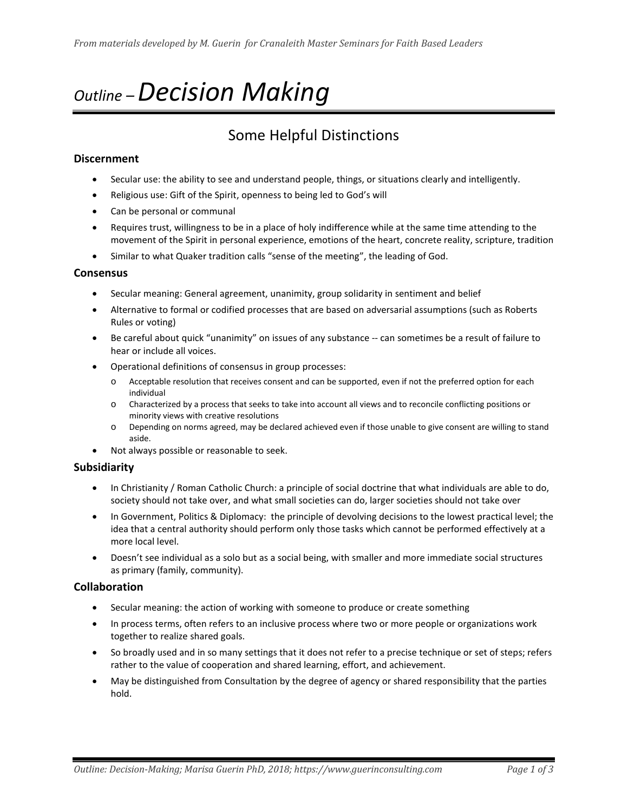# *Outline – Decision Making*

# Some Helpful Distinctions

## **Discernment**

- Secular use: the ability to see and understand people, things, or situations clearly and intelligently.
- Religious use: Gift of the Spirit, openness to being led to God's will
- Can be personal or communal
- Requires trust, willingness to be in a place of holy indifference while at the same time attending to the movement of the Spirit in personal experience, emotions of the heart, concrete reality, scripture, tradition
- Similar to what Quaker tradition calls "sense of the meeting", the leading of God.

#### **Consensus**

- Secular meaning: General agreement, unanimity, group solidarity in sentiment and belief
- Alternative to formal or codified processes that are based on adversarial assumptions (such as Roberts Rules or voting)
- Be careful about quick "unanimity" on issues of any substance -- can sometimes be a result of failure to hear or include all voices.
- Operational definitions of consensus in group processes:
	- o Acceptable resolution that receives consent and can be supported, even if not the preferred option for each individual
	- o Characterized by a process that seeks to take into account all views and to reconcile conflicting positions or minority views with creative resolutions
	- o Depending on norms agreed, may be declared achieved even if those unable to give consent are willing to stand aside.
- Not always possible or reasonable to seek.

# **Subsidiarity**

- In Christianity / Roman Catholic Church: a principle of social doctrine that what individuals are able to do, society should not take over, and what small societies can do, larger societies should not take over
- In Government, Politics & Diplomacy: the principle of devolving decisions to the lowest practical level; the idea that a central authority should perform only those tasks which cannot be performed effectively at a more local level.
- Doesn't see individual as a solo but as a social being, with smaller and more immediate social structures as primary (family, community).

#### **Collaboration**

- Secular meaning: the action of working with someone to produce or create something
- In process terms, often refers to an inclusive process where two or more people or organizations work together to realize shared goals.
- So broadly used and in so many settings that it does not refer to a precise technique or set of steps; refers rather to the value of cooperation and shared learning, effort, and achievement.
- May be distinguished from Consultation by the degree of agency or shared responsibility that the parties hold.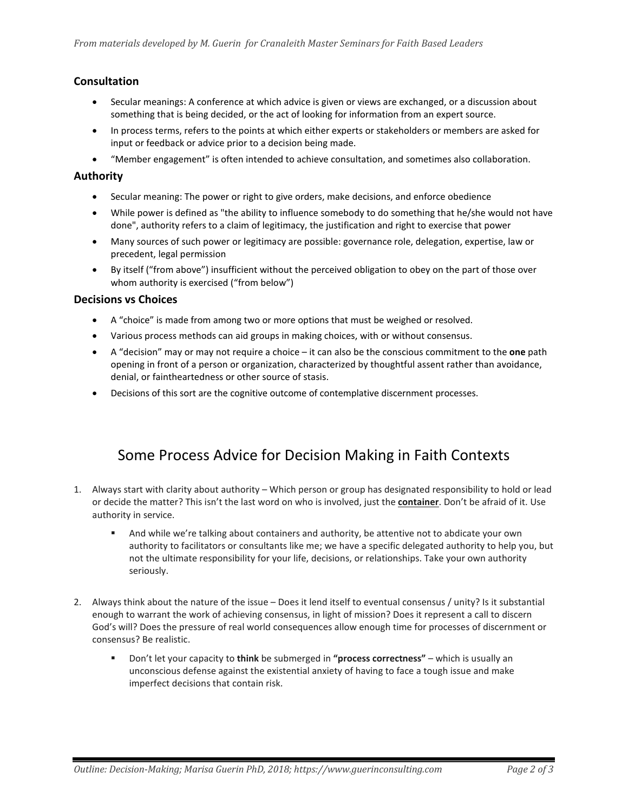# **Consultation**

- Secular meanings: A conference at which advice is given or views are exchanged, or a discussion about something that is being decided, or the act of looking for information from an expert source.
- In process terms, refers to the points at which either experts or stakeholders or members are asked for input or feedback or advice prior to a decision being made.
- "Member engagement" is often intended to achieve consultation, and sometimes also collaboration.

# **Authority**

- Secular meaning: The power or right to give orders, make decisions, and enforce obedience
- While power is defined as "the ability to influence somebody to do something that he/she would not have done", authority refers to a claim of [legitimacy,](http://en.wikipedia.org/wiki/Legitimacy_(political)) the justification and right to exercise that power
- Many sources of such power or legitimacy are possible: governance role, delegation, expertise, law or precedent, legal permission
- By itself ("from above") insufficient without the perceived obligation to obey on the part of those over whom authority is exercised ("from below")

### **Decisions vs Choices**

- A "choice" is made from among two or more options that must be weighed or resolved.
- Various process methods can aid groups in making choices, with or without consensus.
- A "decision" may or may not require a choice it can also be the conscious commitment to the **one** path opening in front of a person or organization, characterized by thoughtful assent rather than avoidance, denial, or faintheartedness or other source of stasis.
- Decisions of this sort are the cognitive outcome of contemplative discernment processes.

# Some Process Advice for Decision Making in Faith Contexts

- 1. Always start with clarity about authority Which person or group has designated responsibility to hold or lead or decide the matter? This isn't the last word on who is involved, just the **container**. Don't be afraid of it. Use authority in service.
	- And while we're talking about containers and authority, be attentive not to abdicate your own authority to facilitators or consultants like me; we have a specific delegated authority to help you, but not the ultimate responsibility for your life, decisions, or relationships. Take your own authority seriously.
- 2. Always think about the nature of the issue Does it lend itself to eventual consensus / unity? Is it substantial enough to warrant the work of achieving consensus, in light of mission? Does it represent a call to discern God's will? Does the pressure of real world consequences allow enough time for processes of discernment or consensus? Be realistic.
	- Don't let your capacity to **think** be submerged in **"process correctness"** which is usually an unconscious defense against the existential anxiety of having to face a tough issue and make imperfect decisions that contain risk.